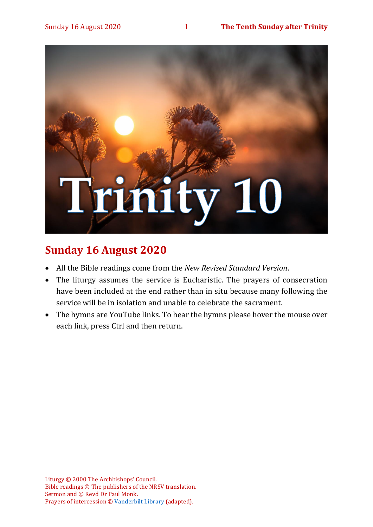

# **Sunday 16 August 2020**

- All the Bible readings come from the *New Revised Standard Version*.
- The liturgy assumes the service is Eucharistic. The prayers of consecration have been included at the end rather than in situ because many following the service will be in isolation and unable to celebrate the sacrament.
- The hymns are YouTube links. To hear the hymns please hover the mouse over each link, press Ctrl and then return.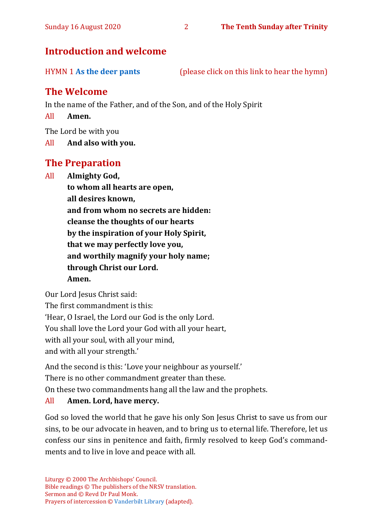# **Introduction and welcome**

HYMN 1 **[As the deer pants](https://www.youtube.com/watch?v=UZv3jzOTE70)** (please click on this link to hear the hymn)

# **The Welcome**

In the name of the Father, and of the Son, and of the Holy Spirit

All **Amen.**

The Lord be with you

All **And also with you.**

# **The Preparation**

All **Almighty God,**

**to whom all hearts are open, all desires known, and from whom no secrets are hidden: cleanse the thoughts of our hearts by the inspiration of your Holy Spirit, that we may perfectly love you, and worthily magnify your holy name; through Christ our Lord. Amen.**

Our Lord Jesus Christ said:

The first commandment is this: 'Hear, O Israel, the Lord our God is the only Lord. You shall love the Lord your God with all your heart, with all your soul, with all your mind, and with all your strength.'

And the second is this: 'Love your neighbour as yourself.'

There is no other commandment greater than these.

On these two commandments hang all the law and the prophets.

### All **Amen. Lord, have mercy.**

God so loved the world that he gave his only Son Jesus Christ to save us from our sins, to be our advocate in heaven, and to bring us to eternal life. Therefore, let us confess our sins in penitence and faith, firmly resolved to keep God's commandments and to live in love and peace with all.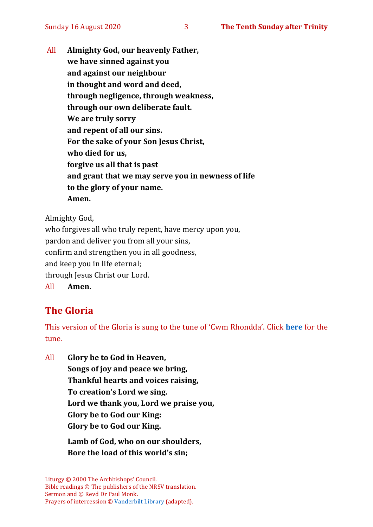All **Almighty God, our heavenly Father, we have sinned against you and against our neighbour in thought and word and deed, through negligence, through weakness, through our own deliberate fault. We are truly sorry and repent of all our sins. For the sake of your Son Jesus Christ, who died for us, forgive us all that is past and grant that we may serve you in newness of life to the glory of your name. Amen.**

Almighty God,

who forgives all who truly repent, have mercy upon you, pardon and deliver you from all your sins, confirm and strengthen you in all goodness, and keep you in life eternal; through Jesus Christ our Lord. All **Amen.**

# **The Gloria**

This version of the Gloria is sung to the tune of 'Cwm Rhondda'. Click **[here](about:blank)** for the tune.

All **Glory be to God in Heaven, Songs of joy and peace we bring, Thankful hearts and voices raising, To creation's Lord we sing. Lord we thank you, Lord we praise you, Glory be to God our King: Glory be to God our King.**

> **Lamb of God, who on our shoulders, Bore the load of this world's sin;**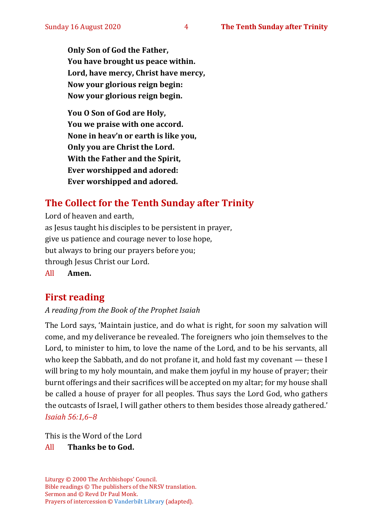**Only Son of God the Father, You have brought us peace within. Lord, have mercy, Christ have mercy, Now your glorious reign begin: Now your glorious reign begin.**

**You O Son of God are Holy, You we praise with one accord. None in heav'n or earth is like you, Only you are Christ the Lord. With the Father and the Spirit, Ever worshipped and adored: Ever worshipped and adored.**

# **The Collect for the Tenth Sunday after Trinity**

Lord of heaven and earth, as Jesus taught his disciples to be persistent in prayer, give us patience and courage never to lose hope, but always to bring our prayers before you; through Jesus Christ our Lord. All **Amen.**

# **First reading**

#### *A reading from the Book of the Prophet Isaiah*

The Lord says, 'Maintain justice, and do what is right, for soon my salvation will come, and my deliverance be revealed. The foreigners who join themselves to the Lord, to minister to him, to love the name of the Lord, and to be his servants, all who keep the Sabbath, and do not profane it, and hold fast my covenant — these I will bring to my holy mountain, and make them joyful in my house of prayer; their burnt offerings and their sacrifices will be accepted on my altar; for my house shall be called a house of prayer for all peoples. Thus says the Lord God, who gathers the outcasts of Israel, I will gather others to them besides those already gathered.' *Isaiah 56:1,6–8*

This is the Word of the Lord

#### All **Thanks be to God.**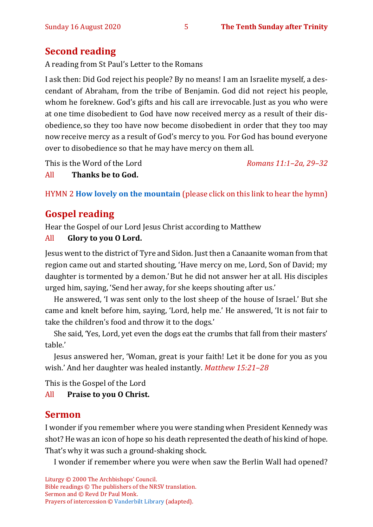# **Second reading**

A reading from St Paul's Letter to the Romans

I ask then: Did God reject his people? By no means! I am an Israelite myself, a descendant of Abraham, from the tribe of Benjamin. God did not reject his people, whom he foreknew. God's gifts and his call are irrevocable. Just as you who were at one time disobedient to God have now received mercy as a result of their disobedience, so they too have now become disobedient in order that they too may nowreceive mercy as a result of God's mercy to you. For God has bound everyone over to disobedience so that he may have mercy on them all.

This is the Word of the Lord *Romans 11:1–2a, 29–32*

All **Thanks be to God.**

HYMN 2 **[How lovely on the mountain](https://www.youtube.com/watch?v=_lQRmFXNA2Q)** (please click on this link to hear the hymn)

# **Gospel reading**

Hear the Gospel of our Lord Jesus Christ according to Matthew

### All **Glory to you O Lord.**

Jesus went to the district of Tyre and Sidon. Just then a Canaanite woman from that region came out and started shouting, 'Have mercy on me, Lord, Son of David; my daughter is tormented by a demon.' But he did not answer her at all. His disciples urged him, saying, 'Send her away, for she keeps shouting after us.'

He answered, 'I was sent only to the lost sheep of the house of Israel.' But she came and knelt before him, saying, 'Lord, help me.' He answered, 'It is not fair to take the children's food and throw it to the dogs.'

She said, 'Yes, Lord, yet even the dogs eat the crumbs that fall from their masters' table.'

Jesus answered her, 'Woman, great is your faith! Let it be done for you as you wish.' And her daughter was healed instantly. *Matthew 15:21–28*

This is the Gospel of the Lord

All **Praise to you O Christ.** 

# **Sermon**

I wonder if you remember where you were standing when President Kennedy was shot? He was an icon of hope so his death represented the death of his kind of hope. That's why it was such a ground-shaking shock.

I wonder if remember where you were when saw the Berlin Wall had opened?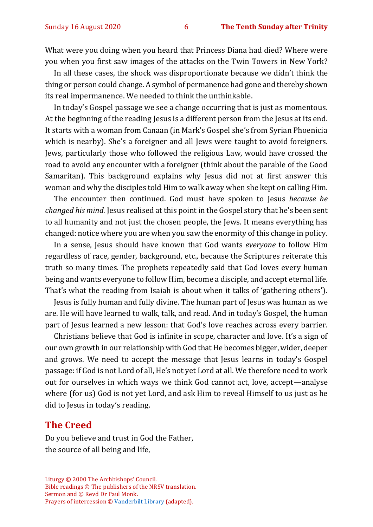What were you doing when you heard that Princess Diana had died? Where were you when you first saw images of the attacks on the Twin Towers in New York?

In all these cases, the shock was disproportionate because we didn't think the thing or person could change. A symbol of permanence had gone and thereby shown its real impermanence. We needed to think the unthinkable.

In today's Gospel passage we see a change occurring that is just as momentous. At the beginning of the reading Jesus is a different person from the Jesus at its end. It starts with a woman from Canaan (in Mark's Gospel she's from Syrian Phoenicia which is nearby). She's a foreigner and all Jews were taught to avoid foreigners. Jews, particularly those who followed the religious Law, would have crossed the road to avoid any encounter with a foreigner (think about the parable of the Good Samaritan). This background explains why Jesus did not at first answer this woman and why the disciples told Him to walk away when she kept on calling Him.

The encounter then continued. God must have spoken to Jesus *because he changed his mind.* Jesus realised at this point in the Gospel story that he's been sent to all humanity and not just the chosen people, the Jews. It means everything has changed: notice where you are when you saw the enormity of this change in policy.

In a sense, Jesus should have known that God wants *everyone* to follow Him regardless of race, gender, background, etc., because the Scriptures reiterate this truth so many times. The prophets repeatedly said that God loves every human being and wants everyone to follow Him, become a disciple, and accept eternal life. That's what the reading from Isaiah is about when it talks of 'gathering others').

Jesus is fully human and fully divine. The human part of Jesus was human as we are. He will have learned to walk, talk, and read. And in today's Gospel, the human part of Jesus learned a new lesson: that God's love reaches across every barrier.

Christians believe that God is infinite in scope, character and love. It's a sign of our own growth in our relationship with God that He becomes bigger, wider, deeper and grows. We need to accept the message that Jesus learns in today's Gospel passage: if God is not Lord of all, He's not yet Lord at all. We therefore need to work out for ourselves in which ways we think God cannot act, love, accept—analyse where (for us) God is not yet Lord, and ask Him to reveal Himself to us just as he did to Jesus in today's reading.

#### **The Creed**

Do you believe and trust in God the Father, the source of all being and life,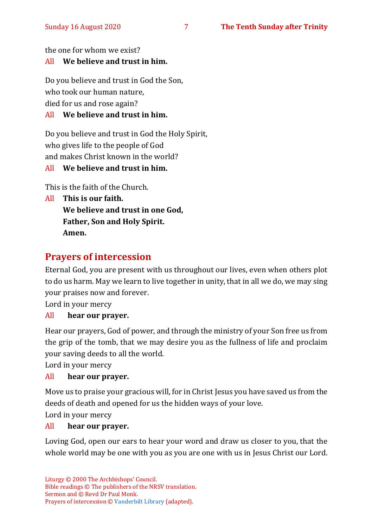the one for whom we exist?

### All **We believe and trust in him.**

Do you believe and trust in God the Son, who took our human nature,

died for us and rose again?

### All **We believe and trust in him.**

Do you believe and trust in God the Holy Spirit, who gives life to the people of God and makes Christ known in the world?

#### All **We believe and trust in him.**

This is the faith of the Church.

All **This is our faith. We believe and trust in one God, Father, Son and Holy Spirit. Amen.**

# **Prayers of intercession**

Eternal God, you are present with us throughout our lives, even when others plot to do us harm. May we learn to live together in unity, that in all we do, we may sing your praises now and forever.

Lord in your mercy

#### All **hear our prayer.**

Hear our prayers, God of power, and through the ministry of your Son free us from the grip of the tomb, that we may desire you as the fullness of life and proclaim your saving deeds to all the world.

Lord in your mercy

#### All **hear our prayer.**

Move us to praise your gracious will, for in Christ Jesus you have saved us from the deeds of death and opened for us the hidden ways of your love.

Lord in your mercy

#### All **hear our prayer.**

Loving God, open our ears to hear your word and draw us closer to you, that the whole world may be one with you as you are one with us in Jesus Christ our Lord.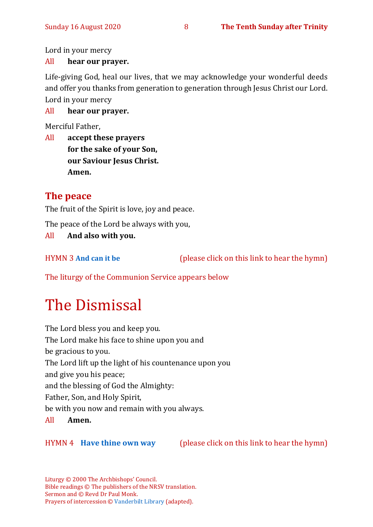Lord in your mercy

#### All **hear our prayer.**

Life-giving God, heal our lives, that we may acknowledge your wonderful deeds and offer you thanks from generation to generation through Jesus Christ our Lord. Lord in your mercy

#### All **hear our prayer.**

Merciful Father,

All **accept these prayers for the sake of your Son, our Saviour Jesus Christ. Amen.**

# **The peace**

The fruit of the Spirit is love, joy and peace.

The peace of the Lord be always with you,

All **And also with you.**

HYMN 3 **[And can it be](https://www.youtube.com/watch?v=uzDes9IVdzg)** (please click on this link to hear the hymn)

The liturgy of the Communion Service appears below

# The Dismissal

The Lord bless you and keep you. The Lord make his face to shine upon you and be gracious to you. The Lord lift up the light of his countenance upon you and give you his peace; and the blessing of God the Almighty: Father, Son, and Holy Spirit, be with you now and remain with you always. All **Amen.**

HYMN 4 **[Have thine own way](https://www.youtube.com/watch?v=h0Yu4_-orSU)** (please click on this link to hear the hymn)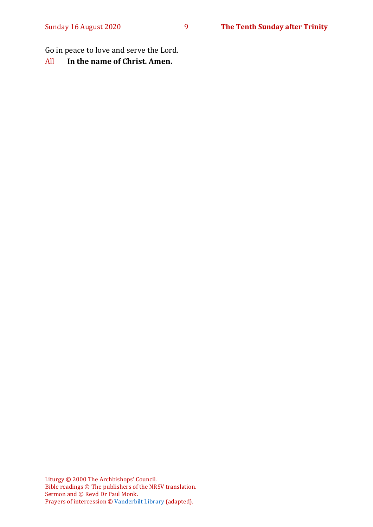Go in peace to love and serve the Lord.

All **In the name of Christ. Amen.**

Liturgy © 2000 The Archbishops' Council. Bible readings © The publishers of the NRSV translation. Sermon and © Revd Dr Paul Monk. Prayers of intercession © [Vanderbilt Library](https://lectionary.library.vanderbilt.edu/prayers.php?id=155) (adapted).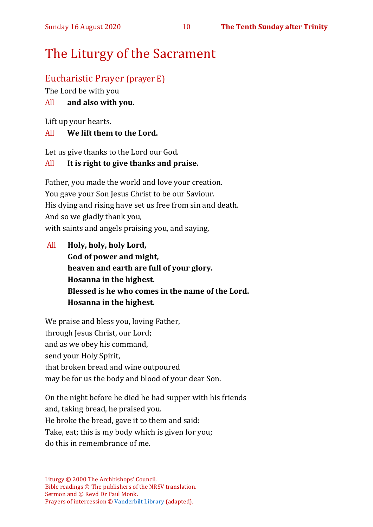# The Liturgy of the Sacrament

# Eucharistic Prayer (prayer E)

The Lord be with you

#### All **and also with you.**

Lift up your hearts.

#### All **We lift them to the Lord.**

Let us give thanks to the Lord our God.

### All **It is right to give thanks and praise.**

Father, you made the world and love your creation. You gave your Son Jesus Christ to be our Saviour. His dying and rising have set us free from sin and death. And so we gladly thank you, with saints and angels praising you, and saying,

All **Holy, holy, holy Lord, God of power and might, heaven and earth are full of your glory. Hosanna in the highest. Blessed is he who comes in the name of the Lord. Hosanna in the highest.**

We praise and bless you, loving Father, through Jesus Christ, our Lord; and as we obey his command, send your Holy Spirit, that broken bread and wine outpoured may be for us the body and blood of your dear Son.

On the night before he died he had supper with his friends and, taking bread, he praised you. He broke the bread, gave it to them and said: Take, eat; this is my body which is given for you; do this in remembrance of me.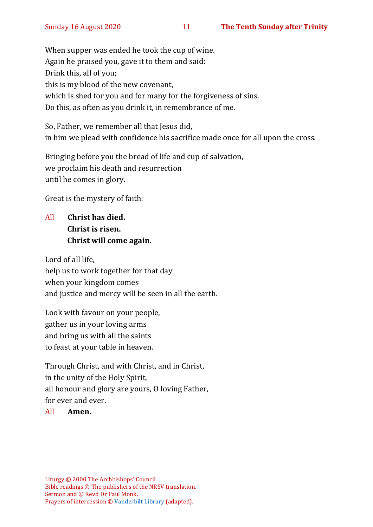When supper was ended he took the cup of wine. Again he praised you, gave it to them and said: Drink this, all of you; this is my blood of the new covenant, which is shed for you and for many for the forgiveness of sins. Do this, as often as you drink it, in remembrance of me.

So, Father, we remember all that Jesus did, in him we plead with confidence his sacrifice made once for all upon the cross.

Bringing before you the bread of life and cup of salvation, we proclaim his death and resurrection until he comes in glory.

Great is the mystery of faith:

All **Christ has died. Christ is risen. Christ will come again.**

Lord of all life, help us to work together for that day when your kingdom comes and justice and mercy will be seen in all the earth.

Look with favour on your people, gather us in your loving arms and bring us with all the saints to feast at your table in heaven.

Through Christ, and with Christ, and in Christ, in the unity of the Holy Spirit, all honour and glory are yours, O loving Father, for ever and ever.

#### All **Amen.**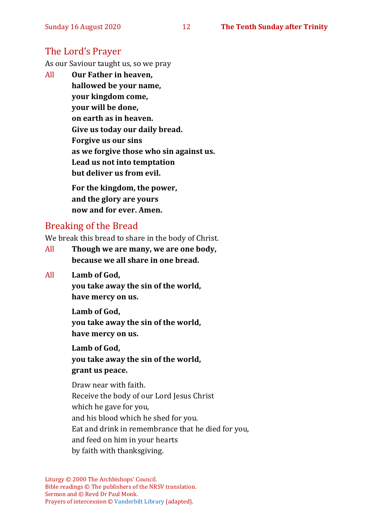# The Lord's Prayer

As our Saviour taught us, so we pray

All **Our Father in heaven, hallowed be your name, your kingdom come, your will be done, on earth as in heaven. Give us today our daily bread. Forgive us our sins as we forgive those who sin against us. Lead us not into temptation but deliver us from evil. For the kingdom, the power, and the glory are yours**

**now and for ever. Amen.**

# Breaking of the Bread

We break this bread to share in the body of Christ.

- All **Though we are many, we are one body, because we all share in one bread.**
- All **Lamb of God,**

**you take away the sin of the world, have mercy on us.**

**Lamb of God, you take away the sin of the world, have mercy on us.**

**Lamb of God, you take away the sin of the world, grant us peace.**

Draw near with faith. Receive the body of our Lord Jesus Christ which he gave for you, and his blood which he shed for you. Eat and drink in remembrance that he died for you, and feed on him in your hearts by faith with thanksgiving.